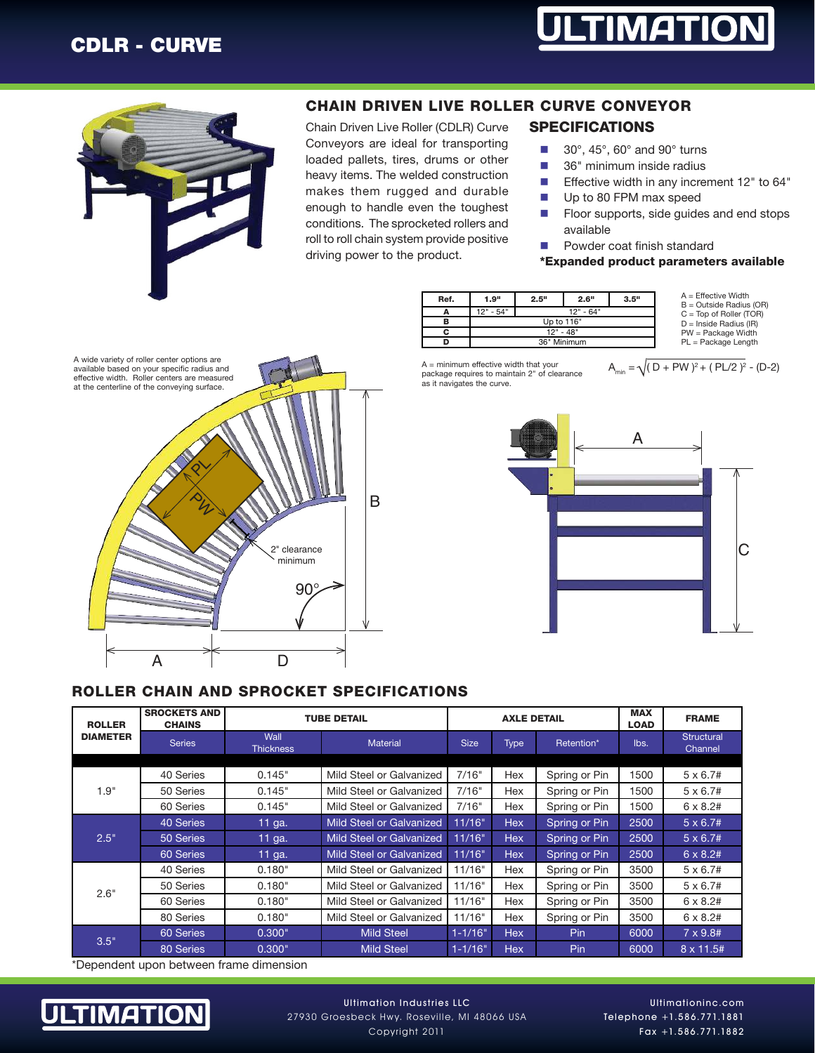# CDLR - CURVE





A wide variety of roller center options are

# CHAIN DRIVEN LIVE ROLLER CURVE CONVEYOR

Chain Driven Live Roller (CDLR) Curve Conveyors are ideal for transporting loaded pallets, tires, drums or other heavy items. The welded construction makes them rugged and durable enough to handle even the toughest conditions. The sprocketed rollers and roll to roll chain system provide positive

driving power to the product.

## SPECIFICATIONS

- $\blacksquare$  30°, 45°, 60° and 90° turns
- $\blacksquare$  36" minimum inside radius
- **Effective width in any increment 12" to 64"**
- Up to 80 FPM max speed
- $\blacksquare$  Floor supports, side guides and end stops available
- **n** Powder coat finish standard

#### \*Expanded product parameters available

| Ref. | 1.9"      | 2.5"        | 2.6"                                             | 3.5"                      | $A =$ Effective Width<br>$B =$ Outside Radius (OR) |
|------|-----------|-------------|--------------------------------------------------|---------------------------|----------------------------------------------------|
|      | 12" - 54" |             | $12" - 64"$                                      | $C = Top of Roller (TOR)$ |                                                    |
|      |           | Up to 116"  | $D =$ Inside Radius (IR)<br>$PW = Package$ Width |                           |                                                    |
|      |           | $12" - 48"$ |                                                  |                           |                                                    |
|      |           | 36" Minimum | $PL = Package Length$                            |                           |                                                    |

package requires to maintain 2" of clearance as it navigates the curve.







#### ROLLER CHAIN AND SPROCKET SPECIFICATIONS

| <b>ROLLER</b><br><b>DIAMETER</b> | <b>SROCKETS AND</b><br><b>CHAINS</b> | <b>TUBE DETAIL</b>       |                                 | <b>AXLE DETAIL</b> |             |               | <b>MAX</b><br><b>LOAD</b> | <b>FRAME</b>                 |
|----------------------------------|--------------------------------------|--------------------------|---------------------------------|--------------------|-------------|---------------|---------------------------|------------------------------|
|                                  | <b>Series</b>                        | Wall<br><b>Thickness</b> | <b>Material</b>                 | <b>Size</b>        | <b>Type</b> | Retention*    | lbs.                      | <b>Structural</b><br>Channel |
|                                  |                                      |                          |                                 |                    |             |               |                           |                              |
| 1.9"                             | 40 Series                            | 0.145"                   | Mild Steel or Galvanized        | 7/16"              | Hex         | Spring or Pin | 1500                      | $5 \times 6.7#$              |
|                                  | 50 Series                            | 0.145"                   | Mild Steel or Galvanized        | 7/16"              | Hex         | Spring or Pin | 1500                      | $5 \times 6.7#$              |
|                                  | 60 Series                            | 0.145"                   | Mild Steel or Galvanized        | 7/16"              | Hex         | Spring or Pin | 1500                      | $6 \times 8.2#$              |
| 2.5"                             | 40 Series                            | 11 ga.                   | <b>Mild Steel or Galvanized</b> | 11/16"             | <b>Hex</b>  | Spring or Pin | 2500                      | $5 \times 6.7#$              |
|                                  | 50 Series                            | 11 ga.                   | <b>Mild Steel or Galvanized</b> | 11/16"             | <b>Hex</b>  | Spring or Pin | 2500                      | $5 \times 6.7#$              |
|                                  | 60 Series                            | 11 ga.                   | <b>Mild Steel or Galvanized</b> | 11/16"             | <b>Hex</b>  | Spring or Pin | 2500                      | $6 \times 8.2#$              |
| 2.6"                             | 40 Series                            | 0.180"                   | Mild Steel or Galvanized        | 11/16"             | Hex         | Spring or Pin | 3500                      | $5 \times 6.7#$              |
|                                  | 50 Series                            | 0.180"                   | Mild Steel or Galvanized        | 11/16"             | Hex         | Spring or Pin | 3500                      | $5 \times 6.7#$              |
|                                  | 60 Series                            | 0.180"                   | Mild Steel or Galvanized        | 11/16"             | Hex         | Spring or Pin | 3500                      | $6 \times 8.2#$              |
|                                  | 80 Series                            | 0.180"                   | Mild Steel or Galvanized        | 11/16"             | Hex         | Spring or Pin | 3500                      | $6 \times 8.2#$              |
| 3.5"                             | 60 Series                            | 0.300"                   | <b>Mild Steel</b>               | $1 - 1/16"$        | <b>Hex</b>  | <b>Pin</b>    | 6000                      | $7 \times 9.84$              |
|                                  | 80 Series                            | 0.300"                   | <b>Mild Steel</b>               | $1 - 1/16"$        | <b>Hex</b>  | Pin           | 6000                      | $8 \times 11.5#$             |

\*Dependent upon between frame dimension



Ultimationinc.com Telephone +1.586.771.1881 Fax +1.586.771.1882